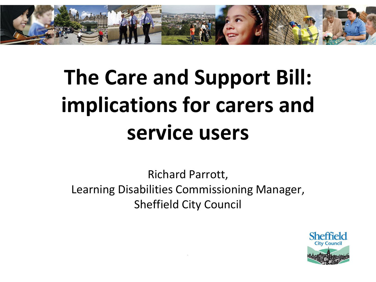

# **The Care and Support Bill: implications for carers and service users**

Richard Parrott, Learning Disabilities Commissioning Manager, Sheffield City Council

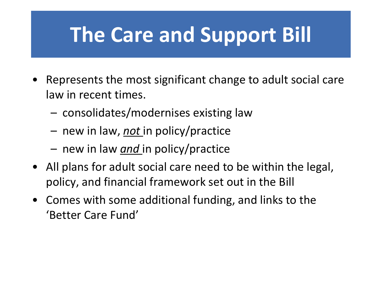## **The Care and Support Bill**

- Represents the most significant change to adult social care law in recent times.
	- consolidates/modernises existing law
	- new in law, *not* in policy/practice
	- new in law *and* in policy/practice
- All plans for adult social care need to be within the legal, policy, and financial framework set out in the Bill
- Comes with some additional funding, and links to the 'Better Care Fund'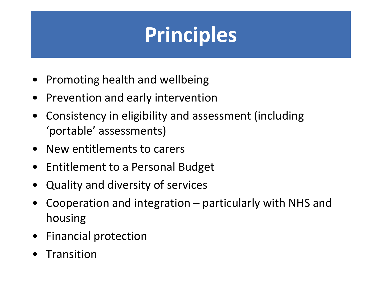# **Principles**

- Promoting health and wellbeing
- Prevention and early intervention
- Consistency in eligibility and assessment (including 'portable' assessments)
- New entitlements to carers
- Entitlement to a Personal Budget
- Quality and diversity of services
- Cooperation and integration particularly with NHS and housing
- Financial protection
- Transition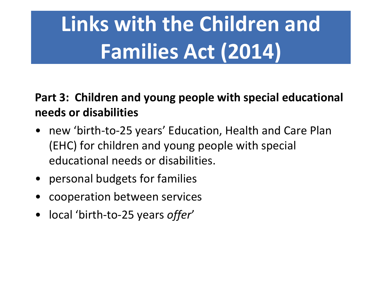# **Links with the Children and Families Act (2014)**

#### **Part 3: Children and young people with special educational needs or disabilities**

- new 'birth-to-25 years' Education, Health and Care Plan (EHC) for children and young people with special educational needs or disabilities.
- personal budgets for families
- cooperation between services
- local 'birth-to-25 years *offer*'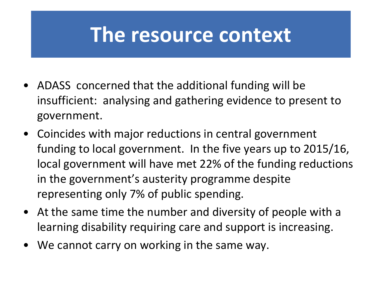### **The resource context**

- ADASS concerned that the additional funding will be insufficient: analysing and gathering evidence to present to government.
- Coincides with major reductions in central government funding to local government. In the five years up to 2015/16, local government will have met 22% of the funding reductions in the government's austerity programme despite representing only 7% of public spending.
- At the same time the number and diversity of people with a learning disability requiring care and support is increasing.
- We cannot carry on working in the same way.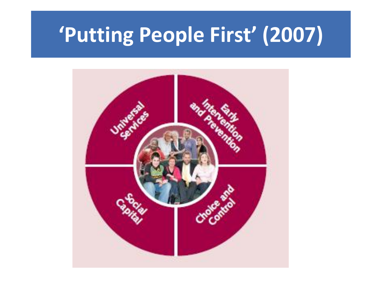# **'Putting People First' (2007)**

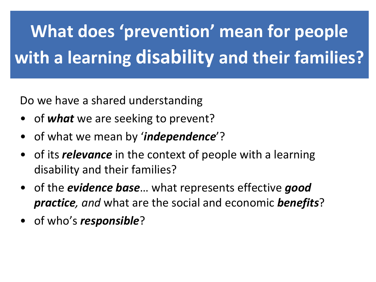# **What does 'prevention' mean for people with a learning disability and their families?**

Do we have a shared understanding

- of *what* we are seeking to prevent?
- of what we mean by '*independence*'?
- of its *relevance* in the context of people with a learning disability and their families?
- of the *evidence base*… what represents effective *good practice, and* what are the social and economic *benefits*?
- of who's *responsible*?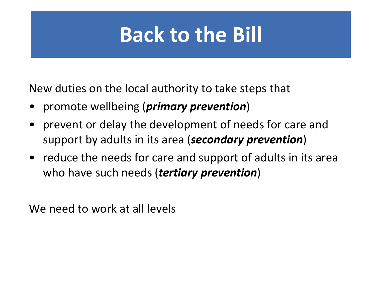## **Back to the Bill**

New duties on the local authority to take steps that

- promote wellbeing (*primary prevention*)
- prevent or delay the development of needs for care and support by adults in its area (*secondary prevention*)
- reduce the needs for care and support of adults in its area who have such needs (*tertiary prevention*)

We need to work at all levels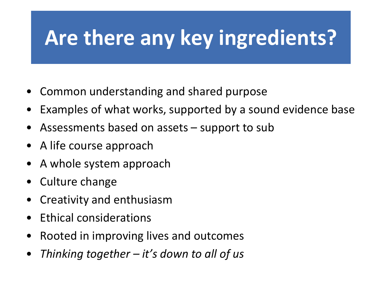# **Are there any key ingredients?**

- Common understanding and shared purpose
- Examples of what works, supported by a sound evidence base
- Assessments based on assets support to sub
- A life course approach
- A whole system approach
- Culture change
- Creativity and enthusiasm
- Ethical considerations
- Rooted in improving lives and outcomes
- *Thinking together – it's down to all of us*